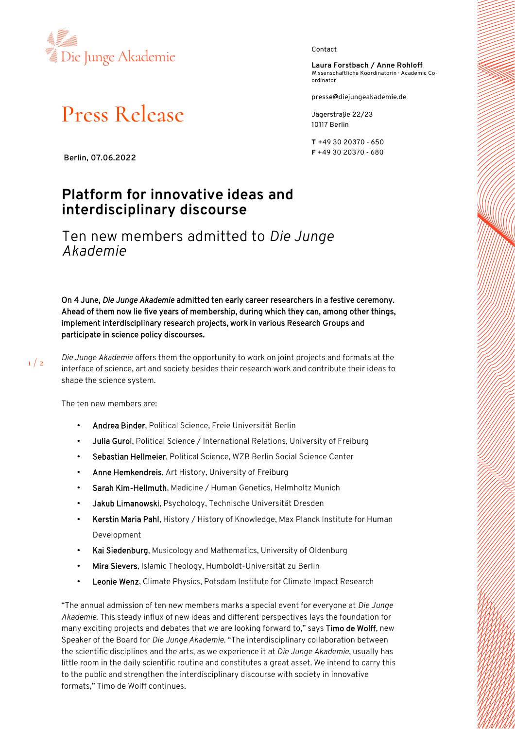

## Press Release

Contact

**Laura Forstbach / Anne Rohloff** Wissenschaftliche Koordinatorin · Academic Coordinator

presse@diejungeakademie.de

Jägerstraße 22/23 10117 Berlin

**T** +49 30 20370 - 650 **<sup>F</sup>**+49 30 20370 - <sup>680</sup> **Berlin, 07.06.2022**

## **Platform for innovative ideas and interdisciplinary discourse**

Ten new members admitted to *Die Junge Akademie*

On 4 June, *Die Junge Akademie* admitted ten early career researchers in a festive ceremony. Ahead of them now lie five years of membership, during which they can, among other things, implement interdisciplinary research projects, work in various Research Groups and participate in science policy discourses.

 $1/2$ *Die Junge Akademie* offers them the opportunity to work on joint projects and formats at the interface of science, art and society besides their research work and contribute their ideas to shape the science system.

The ten new members are:

- [Andrea Binder,](https://www.diejungeakademie.de/en/members/detail/jamembers/show/member/489/) Political Science, Freie Universität Berlin
- [Julia Gurol,](https://www.diejungeakademie.de/en/members/detail/jamembers/show/member/491/) Political Science / International Relations, University of Freiburg
- [Sebastian Hellmeier,](https://www.diejungeakademie.de/en/members/detail/jamembers/show/member/493/) Political Science, WZB Berlin Social Science Center
- [Anne Hemkendreis,](https://www.diejungeakademie.de/en/members/detail/jamembers/show/member/495/) Art History, University of Freiburg
- [Sarah Kim-Hellmuth,](https://www.diejungeakademie.de/en/members/detail/jamembers/show/member/497/) Medicine / Human Genetics, Helmholtz Munich
- [Jakub Limanowski,](https://www.diejungeakademie.de/en/members/detail/jamembers/show/member/499/) Psychology, Technische Universität Dresden
- [Kerstin Maria Pahl,](https://www.diejungeakademie.de/en/members/detail/jamembers/show/member/501/) History / History of Knowledge, Max Planck Institute for Human Development
- [Kai Siedenburg,](https://www.diejungeakademie.de/en/members/detail/jamembers/show/member/503/) Musicology and Mathematics, University of Oldenburg
- [Mira Sievers,](https://www.diejungeakademie.de/en/members/detail/jamembers/show/member/505/) Islamic Theology, Humboldt-Universität zu Berlin
- [Leonie Wenz,](https://www.diejungeakademie.de/en/members/detail/jamembers/show/member/506/) Climate Physics, Potsdam Institute for Climate Impact Research

"The annual admission of ten new members marks a special event for everyone at *Die Junge Akademie*. This steady influx of new ideas and different perspectives lays the foundation for many exciting projects and debates that we are looking forward to," say[s Timo de Wolff,](https://www.diejungeakademie.de/en/members/detail/jamembers/show/member/427/) new Speaker of the Board for *Die Junge Akademie*. "The interdisciplinary collaboration between the scientific disciplines and the arts, as we experience it at *Die Junge Akademie*, usually has little room in the daily scientific routine and constitutes a great asset. We intend to carry this to the public and strengthen the interdisciplinary discourse with society in innovative formats," Timo de Wolff continues.